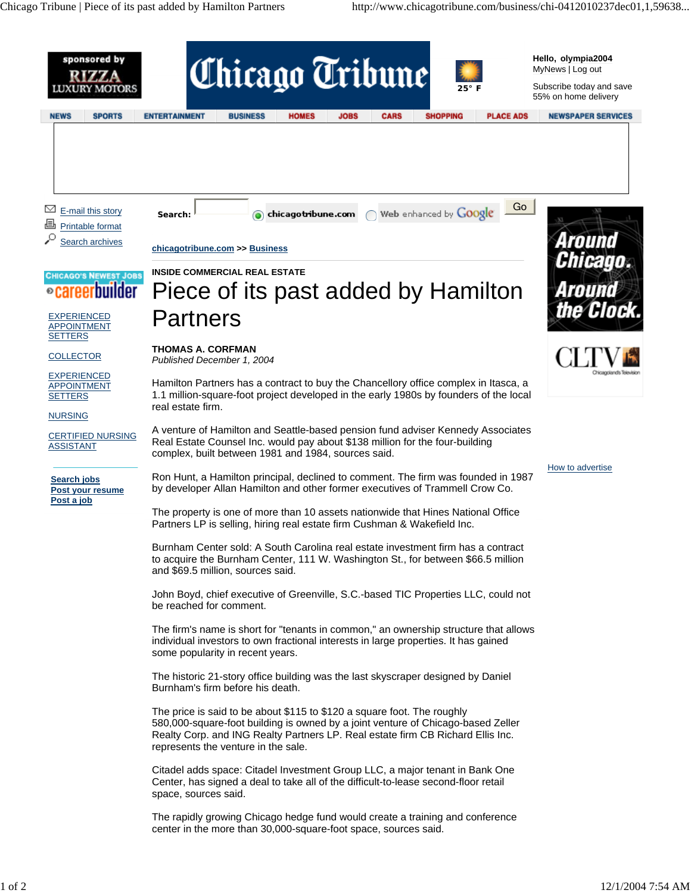